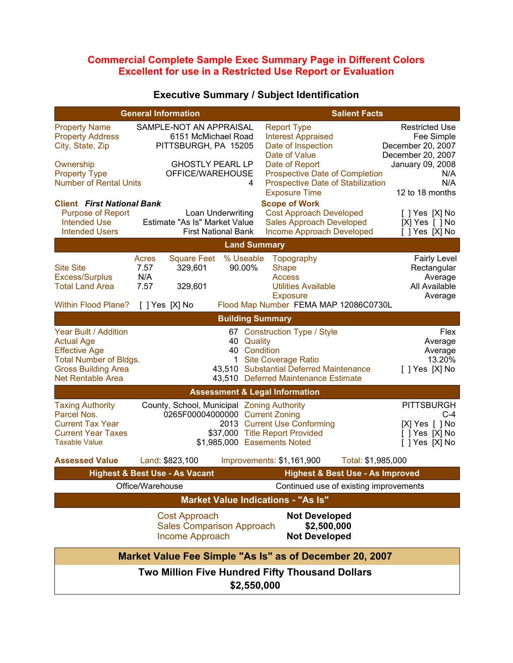## **Commercial Complete Sample Exec Summary Page in Different Colors Excellent for use in a Restricted Use Report or Evaluation**

| <b>General Information</b>                                                                                                                             |                                                                                                                       | <b>Salient Facts</b>                                                                                                                              |                                                                                                                 |  |
|--------------------------------------------------------------------------------------------------------------------------------------------------------|-----------------------------------------------------------------------------------------------------------------------|---------------------------------------------------------------------------------------------------------------------------------------------------|-----------------------------------------------------------------------------------------------------------------|--|
| <b>Property Name</b><br><b>Property Address</b><br>City, State, Zip<br>Ownership<br><b>Property Type</b>                                               | SAMPLE-NOT AN APPRAISAL<br>6151 McMichael Road<br>PITTSBURGH, PA 15205<br><b>GHOSTLY PEARL LP</b><br>OFFICE/WAREHOUSE | <b>Report Type</b><br><b>Interest Appraised</b><br>Date of Inspection<br>Date of Value<br>Date of Report<br><b>Prospective Date of Completion</b> | <b>Restricted Use</b><br>Fee Simple<br>December 20, 2007<br>December 20, 2007<br>January 09, 2008<br>N/A<br>N/A |  |
| <b>Number of Rental Units</b>                                                                                                                          | 4                                                                                                                     | Prospective Date of Stabilization<br><b>Exposure Time</b>                                                                                         | 12 to 18 months                                                                                                 |  |
| <b>Client First National Bank</b><br><b>Purpose of Report</b><br><b>Intended Use</b><br><b>Intended Users</b>                                          | Loan Underwriting<br>Estimate "As Is" Market Value<br><b>First National Bank</b>                                      | <b>Scope of Work</b><br><b>Cost Approach Developed</b><br><b>Sales Approach Developed</b><br>Income Approach Developed                            | $[$ ] Yes $[X]$ No<br>[X] Yes [ ] No<br>[ ] Yes [X] No                                                          |  |
| <b>Land Summary</b>                                                                                                                                    |                                                                                                                       |                                                                                                                                                   |                                                                                                                 |  |
| <b>Site Site</b><br>Excess/Surplus<br><b>Total Land Area</b>                                                                                           | Square Feet % Useable<br>Acres<br>7.57<br>329,601<br>90.00%<br>N/A<br>7.57<br>329,601                                 | Topography<br>Shape<br><b>Access</b><br><b>Utilities Available</b><br><b>Exposure</b>                                                             | <b>Fairly Level</b><br>Rectangular<br>Average<br>All Available<br>Average                                       |  |
| <b>Within Flood Plane?</b>                                                                                                                             | [ ] Yes [X] No                                                                                                        | Flood Map Number FEMA MAP 12086C0730L                                                                                                             |                                                                                                                 |  |
|                                                                                                                                                        |                                                                                                                       | <b>Building Summary</b>                                                                                                                           |                                                                                                                 |  |
| Year Built / Addition<br><b>Actual Age</b><br><b>Effective Age</b><br><b>Total Number of Bldgs.</b><br><b>Gross Building Area</b><br>Net Rentable Area | 40 Quality<br>40 Condition                                                                                            | 67 Construction Type / Style<br>1 Site Coverage Ratio<br>43,510 Substantial Deferred Maintenance<br>43,510 Deferred Maintenance Estimate          | Flex<br>Average<br>Average<br>13.20%<br>[ ] Yes [X] No                                                          |  |
|                                                                                                                                                        | <b>Assessment &amp; Legal Information</b>                                                                             |                                                                                                                                                   |                                                                                                                 |  |
| <b>Taxing Authority</b><br>Parcel Nos.<br><b>Current Tax Year</b><br><b>Current Year Taxes</b><br><b>Taxable Value</b>                                 | County, School, Municipal Zoning Authority<br>0265F00004000000 Current Zoning<br>\$1,985,000 Easements Noted          | 2013 Current Use Conforming<br>\$37,000 Title Report Provided                                                                                     | <b>PITTSBURGH</b><br>$C-4$<br>[X] Yes [ ] No<br>[ ] Yes [X] No<br>$[$ $]$ Yes $[X]$ No                          |  |
| <b>Assessed Value</b>                                                                                                                                  | Land: \$823,100                                                                                                       | Improvements: \$1,161,900<br>Total: \$1,985,000                                                                                                   |                                                                                                                 |  |
|                                                                                                                                                        | <b>Highest &amp; Best Use - As Vacant</b>                                                                             | <b>Highest &amp; Best Use - As Improved</b>                                                                                                       |                                                                                                                 |  |
| Office/Warehouse                                                                                                                                       |                                                                                                                       | Continued use of existing improvements                                                                                                            |                                                                                                                 |  |
|                                                                                                                                                        | <b>Market Value Indications - "As Is"</b>                                                                             |                                                                                                                                                   |                                                                                                                 |  |
|                                                                                                                                                        | <b>Cost Approach</b><br><b>Sales Comparison Approach</b><br>Income Approach                                           | <b>Not Developed</b><br>\$2,500,000<br><b>Not Developed</b>                                                                                       |                                                                                                                 |  |
|                                                                                                                                                        |                                                                                                                       | Market Value Fee Simple "As Is" as of December 20, 2007                                                                                           |                                                                                                                 |  |
| Two Million Five Hundred Fifty Thousand Dollars<br>\$2,550,000                                                                                         |                                                                                                                       |                                                                                                                                                   |                                                                                                                 |  |

## **Executive Summary / Subject Identification**